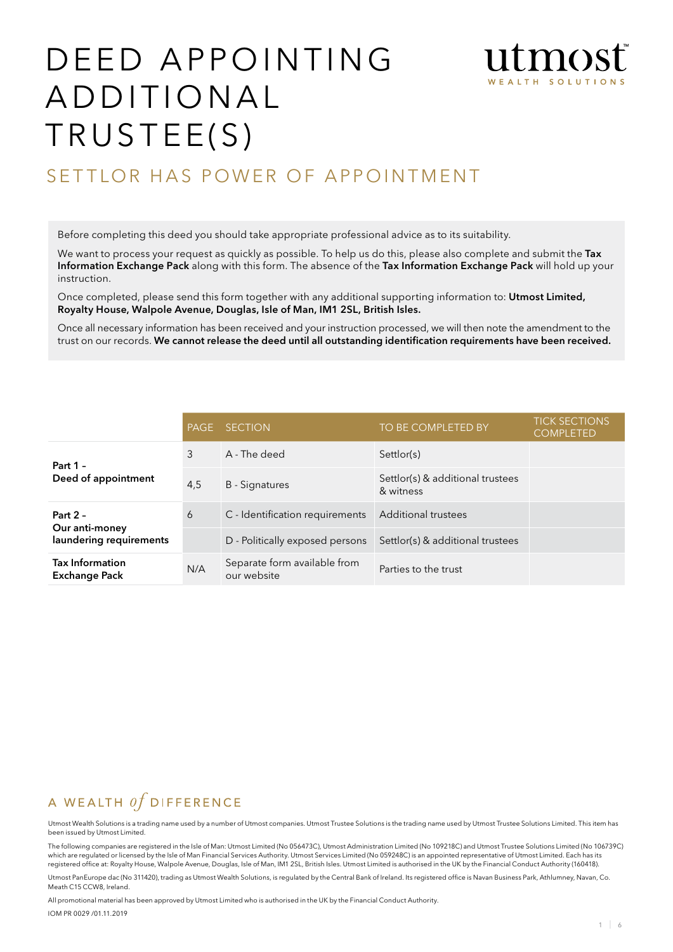# DEED APPOINTING ADDITIONAL TRUSTEE(S)



# SETTLOR HAS POWER OF APPOINTMENT

Before completing this deed you should take appropriate professional advice as to its suitability.

We want to process your request as quickly as possible. To help us do this, please also complete and submit the Tax Information Exchange Pack along with this form. The absence of the Tax Information Exchange Pack will hold up your instruction.

Once completed, please send this form together with any additional supporting information to: Utmost Limited, Royalty House, Walpole Avenue, Douglas, Isle of Man, IM1 2SL, British Isles.

Once all necessary information has been received and your instruction processed, we will then note the amendment to the trust on our records. We cannot release the deed until all outstanding identification requirements have been received.

|                                                | <b>PAGE</b> | <b>SECTION</b>                              | TO BE COMPLETED BY                            | <b>TICK SECTIONS</b><br><b>COMPLETED</b> |
|------------------------------------------------|-------------|---------------------------------------------|-----------------------------------------------|------------------------------------------|
| Part $1 -$                                     | 3           | A - The deed                                | Settlor(s)                                    |                                          |
| Deed of appointment                            | 4,5         | <b>B</b> - Signatures                       | Settlor(s) & additional trustees<br>& witness |                                          |
| Part $2 -$                                     | 6           | C - Identification requirements             | <b>Additional trustees</b>                    |                                          |
| Our anti-money<br>laundering requirements      |             | D - Politically exposed persons             | Settlor(s) & additional trustees              |                                          |
| <b>Tax Information</b><br><b>Exchange Pack</b> | N/A         | Separate form available from<br>our website | Parties to the trust                          |                                          |

# A WEALTH  $of$  DIFFERENCE

Utmost Wealth Solutions is a trading name used by a number of Utmost companies. Utmost Trustee Solutions is the trading name used by Utmost Trustee Solutions Limited. This item has been issued by Utmost Limited.

The following companies are registered in the Isle of Man: Utmost Limited (No 056473C), Utmost Administration Limited (No 109218C) and Utmost Trustee Solutions Limited (No 106739C) which are regulated or licensed by the Isle of Man Financial Services Authority. Utmost Services Limited (No 059248C) is an appointed representative of Utmost Limited. Each has its<br>registered office at: Royalty House, Walp

Utmost PanEurope dac (No 311420), trading as Utmost Wealth Solutions, is regulated by the Central Bank of Ireland. Its registered office is Navan Business Park, Athlumney, Navan, Co. Meath C15 CCW8, Ireland.

All promotional material has been approved by Utmost Limited who is authorised in the UK by the Financial Conduct Authority.

IOM PR 0029 /01.11.2019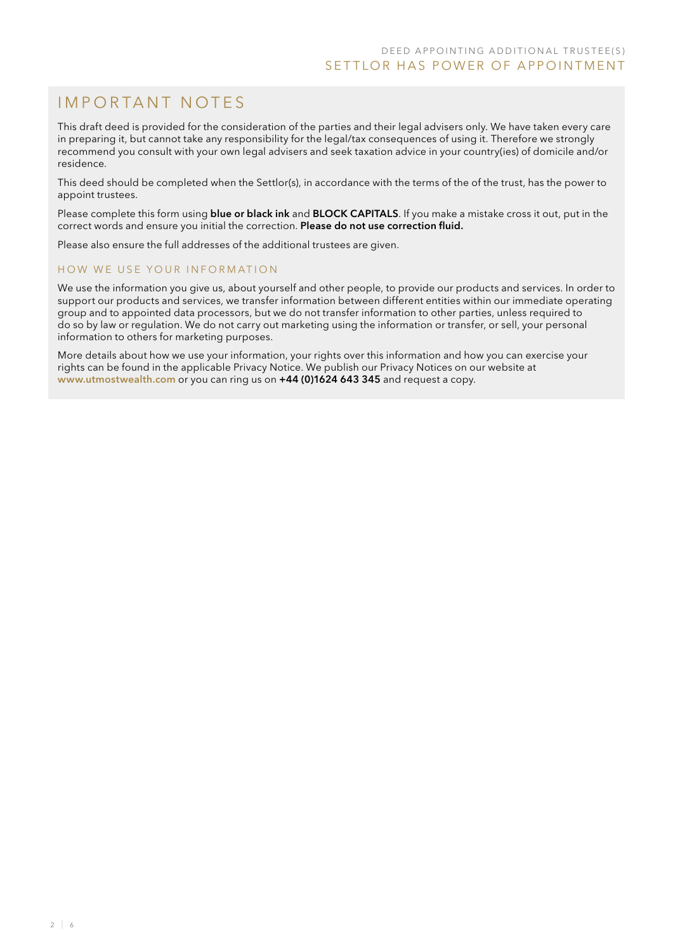# IMPORTANT NOTES

This draft deed is provided for the consideration of the parties and their legal advisers only. We have taken every care in preparing it, but cannot take any responsibility for the legal/tax consequences of using it. Therefore we strongly recommend you consult with your own legal advisers and seek taxation advice in your country(ies) of domicile and/or residence.

This deed should be completed when the Settlor(s), in accordance with the terms of the of the trust, has the power to appoint trustees.

Please complete this form using **blue or black ink** and **BLOCK CAPITALS**. If you make a mistake cross it out, put in the correct words and ensure you initial the correction. Please do not use correction fluid.

Please also ensure the full addresses of the additional trustees are given.

#### HOW WE USE YOUR INFORMATION

We use the information you give us, about yourself and other people, to provide our products and services. In order to support our products and services, we transfer information between different entities within our immediate operating group and to appointed data processors, but we do not transfer information to other parties, unless required to do so by law or regulation. We do not carry out marketing using the information or transfer, or sell, your personal information to others for marketing purposes.

More details about how we use your information, your rights over this information and how you can exercise your rights can be found in the applicable Privacy Notice. We publish our Privacy Notices on our website at www.utmostwealth.com or you can ring us on +44 (0)1624 643 345 and request a copy.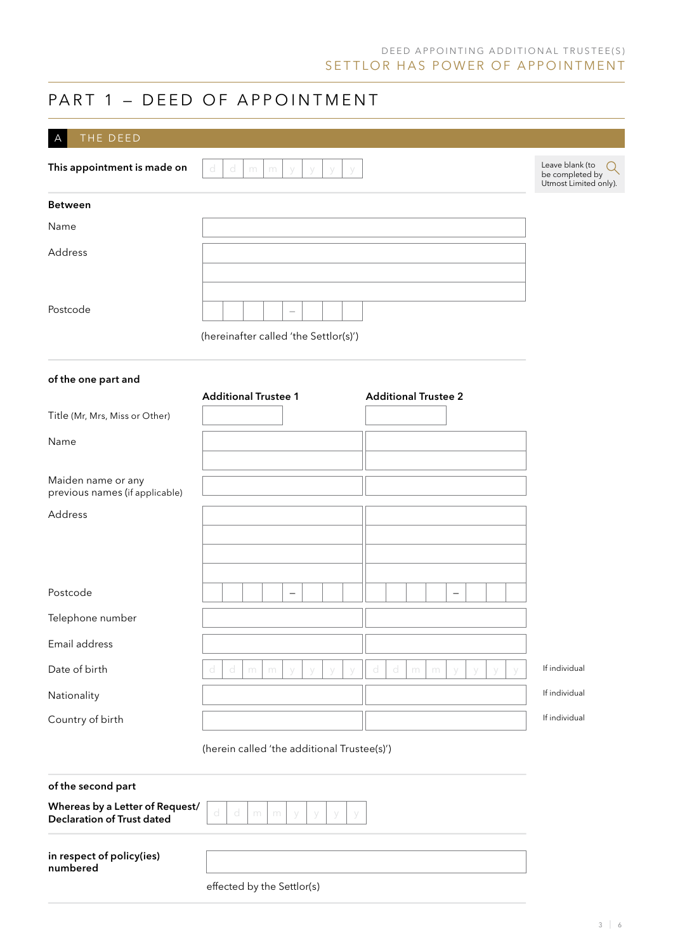## D E ED A P P O IN TING ADD ITIONAL TRUSTEE (S) SETTLOR HAS POWER OF APPOINTMENT

# PART 1 - DEED OF APPOINTMENT

| THE DEED<br>$\overline{A}$                                           |                                                               |                                                             |
|----------------------------------------------------------------------|---------------------------------------------------------------|-------------------------------------------------------------|
| This appointment is made on                                          | d<br>d<br>m<br>m                                              | Leave blank (to<br>be completed by<br>Utmost Limited only). |
| <b>Between</b>                                                       |                                                               |                                                             |
| Name                                                                 |                                                               |                                                             |
| Address                                                              |                                                               |                                                             |
|                                                                      |                                                               |                                                             |
| Postcode                                                             |                                                               |                                                             |
|                                                                      | (hereinafter called 'the Settlor(s)')                         |                                                             |
| of the one part and                                                  |                                                               |                                                             |
|                                                                      | <b>Additional Trustee 1</b><br><b>Additional Trustee 2</b>    |                                                             |
| Title (Mr, Mrs, Miss or Other)                                       |                                                               |                                                             |
| Name                                                                 |                                                               |                                                             |
| Maiden name or any<br>previous names (if applicable)                 |                                                               |                                                             |
| Address                                                              |                                                               |                                                             |
|                                                                      |                                                               |                                                             |
|                                                                      |                                                               |                                                             |
| Postcode                                                             | -<br>-                                                        |                                                             |
| Telephone number                                                     |                                                               |                                                             |
| Email address                                                        |                                                               |                                                             |
| Date of birth                                                        | d<br>d<br>d<br>d<br>m<br>m<br>m<br>m<br>$\vee$<br>y<br>V<br>V | If individual                                               |
| Nationality                                                          |                                                               | If individual                                               |
| Country of birth                                                     |                                                               | If individual                                               |
|                                                                      | (herein called 'the additional Trustee(s)')                   |                                                             |
| of the second part                                                   |                                                               |                                                             |
| Whereas by a Letter of Request/<br><b>Declaration of Trust dated</b> | d<br>d<br>m<br>m<br>У<br>У<br>у                               |                                                             |
|                                                                      |                                                               |                                                             |

in respect of policy(ies) numbered

#### effected by the Settlor(s)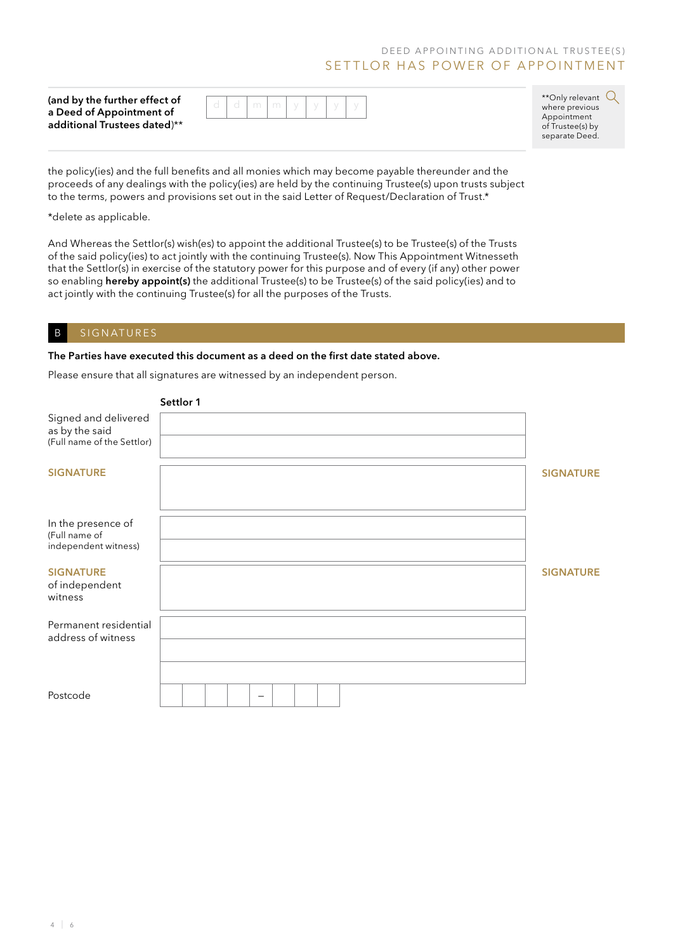## D E ED A P POINTING ADD ITIONAL TRUSTEE (S) SETTLOR HAS POWER OF APPOINTMENT

(and by the further effect of a Deed of Appointment of additional Trustees dated)\*\*

|  | $\cup$ | L. | $d \mid m \mid m \mid$ |  |  |  |  |  |
|--|--------|----|------------------------|--|--|--|--|--|
|--|--------|----|------------------------|--|--|--|--|--|

\*\* Only relevant  $Q$ where previous Appointment of Trustee(s) by separate Deed.

the policy(ies) and the full benefits and all monies which may become payable thereunder and the proceeds of any dealings with the policy(ies) are held by the continuing Trustee(s) upon trusts subject to the terms, powers and provisions set out in the said Letter of Request/Declaration of Trust.\*

\*delete as applicable.

And Whereas the Settlor(s) wish(es) to appoint the additional Trustee(s) to be Trustee(s) of the Trusts of the said policy(ies) to act jointly with the continuing Trustee(s). Now This Appointment Witnesseth that the Settlor(s) in exercise of the statutory power for this purpose and of every (if any) other power so enabling hereby appoint(s) the additional Trustee(s) to be Trustee(s) of the said policy(ies) and to act jointly with the continuing Trustee(s) for all the purposes of the Trusts.

#### B SIGNATURES

#### The Parties have executed this document as a deed on the first date stated above.

Please ensure that all signatures are witnessed by an independent person.

|                                                                      | Settlor 1 |                  |
|----------------------------------------------------------------------|-----------|------------------|
| Signed and delivered<br>as by the said<br>(Full name of the Settlor) |           |                  |
| <b>SIGNATURE</b>                                                     |           | <b>SIGNATURE</b> |
| In the presence of<br>(Full name of<br>independent witness)          |           |                  |
| <b>SIGNATURE</b><br>of independent<br>witness                        |           | <b>SIGNATURE</b> |
| Permanent residential<br>address of witness                          |           |                  |
| Postcode                                                             |           |                  |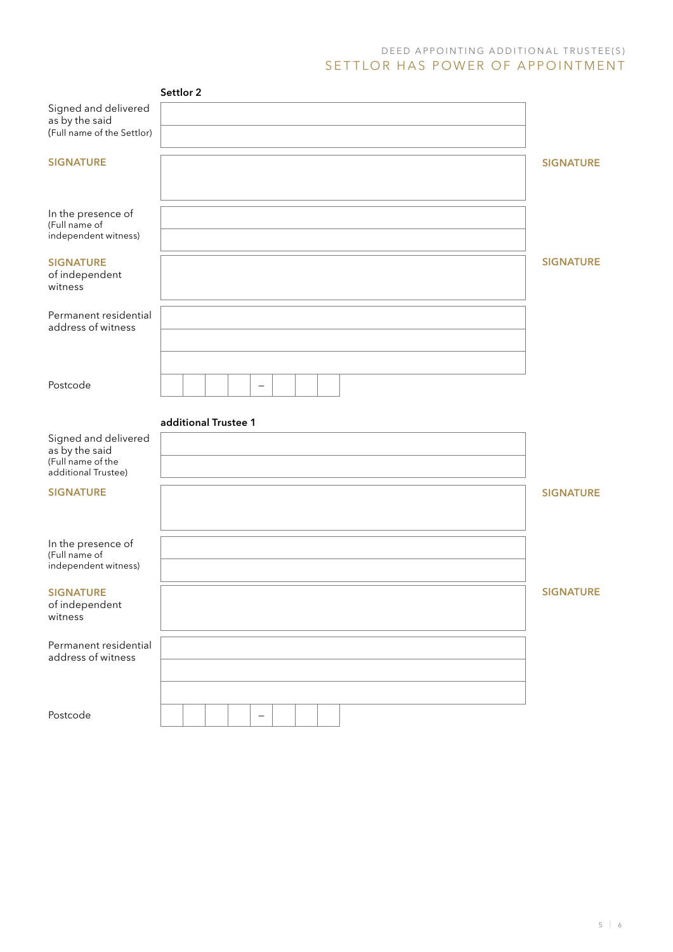## D E E D A P P O IN TIN G ADD ITIONAL TRUSTEE (S) SETTLOR HAS POWER OF APPOINTMENT

|                                                                                    | Settlor 2                |                  |
|------------------------------------------------------------------------------------|--------------------------|------------------|
| Signed and delivered<br>as by the said<br>(Full name of the Settlor)               |                          |                  |
| <b>SIGNATURE</b>                                                                   |                          | <b>SIGNATURE</b> |
| In the presence of<br>(Full name of<br>independent witness)                        |                          |                  |
| <b>SIGNATURE</b><br>of independent<br>witness                                      |                          | <b>SIGNATURE</b> |
| Permanent residential<br>address of witness                                        |                          |                  |
| Postcode                                                                           | $\overline{\phantom{m}}$ |                  |
|                                                                                    | additional Trustee 1     |                  |
| Signed and delivered<br>as by the said<br>(Full name of the<br>additional Trustee) |                          |                  |
| <b>SIGNATURE</b>                                                                   |                          | <b>SIGNATURE</b> |
| In the presence of<br>(Full name of<br>independent witness)                        |                          |                  |
| <b>SIGNATURE</b><br>of independent<br>witness                                      |                          | <b>SIGNATURE</b> |
| Permanent residential<br>address of witness                                        |                          |                  |
| Postcode                                                                           | $\qquad \qquad -$        |                  |